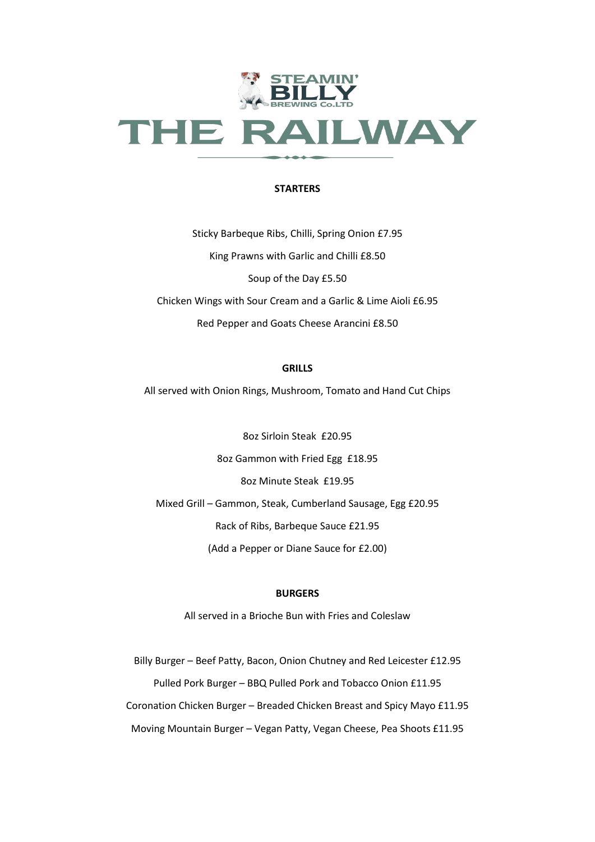

### **STARTERS**

Sticky Barbeque Ribs, Chilli, Spring Onion £7.95 King Prawns with Garlic and Chilli £8.50 Soup of the Day £5.50 Chicken Wings with Sour Cream and a Garlic & Lime Aioli £6.95 Red Pepper and Goats Cheese Arancini £8.50

## **GRILLS**

All served with Onion Rings, Mushroom, Tomato and Hand Cut Chips

8oz Sirloin Steak £20.95 8oz Gammon with Fried Egg £18.95 8oz Minute Steak £19.95 Mixed Grill – Gammon, Steak, Cumberland Sausage, Egg £20.95 Rack of Ribs, Barbeque Sauce £21.95 (Add a Pepper or Diane Sauce for £2.00)

### **BURGERS**

All served in a Brioche Bun with Fries and Coleslaw

Billy Burger – Beef Patty, Bacon, Onion Chutney and Red Leicester £12.95 Pulled Pork Burger – BBQ Pulled Pork and Tobacco Onion £11.95 Coronation Chicken Burger – Breaded Chicken Breast and Spicy Mayo £11.95 Moving Mountain Burger – Vegan Patty, Vegan Cheese, Pea Shoots £11.95